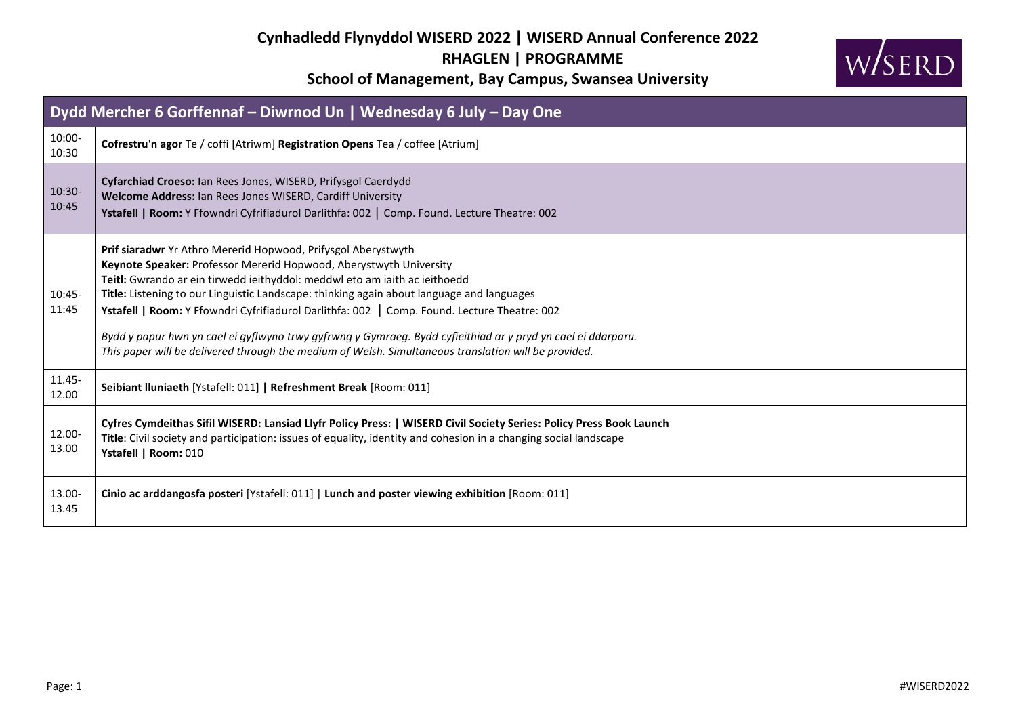

| Dydd Mercher 6 Gorffennaf – Diwrnod Un   Wednesday 6 July – Day One |                                                                                                                                                                                                                                                                                                                                                                                                                                                                                                                                                                                                                                        |  |  |
|---------------------------------------------------------------------|----------------------------------------------------------------------------------------------------------------------------------------------------------------------------------------------------------------------------------------------------------------------------------------------------------------------------------------------------------------------------------------------------------------------------------------------------------------------------------------------------------------------------------------------------------------------------------------------------------------------------------------|--|--|
| 10:00-<br>10:30                                                     | Cofrestru'n agor Te / coffi [Atriwm] Registration Opens Tea / coffee [Atrium]                                                                                                                                                                                                                                                                                                                                                                                                                                                                                                                                                          |  |  |
| $10:30-$<br>10:45                                                   | Cyfarchiad Croeso: Ian Rees Jones, WISERD, Prifysgol Caerdydd<br>Welcome Address: Ian Rees Jones WISERD, Cardiff University<br>Ystafell   Room: Y Ffowndri Cyfrifiadurol Darlithfa: 002   Comp. Found. Lecture Theatre: 002                                                                                                                                                                                                                                                                                                                                                                                                            |  |  |
| $10:45-$<br>11:45                                                   | Prif siaradwr Yr Athro Mererid Hopwood, Prifysgol Aberystwyth<br>Keynote Speaker: Professor Mererid Hopwood, Aberystwyth University<br>Teitl: Gwrando ar ein tirwedd ieithyddol: meddwl eto am iaith ac ieithoedd<br>Title: Listening to our Linguistic Landscape: thinking again about language and languages<br>Ystafell   Room: Y Ffowndri Cyfrifiadurol Darlithfa: 002   Comp. Found. Lecture Theatre: 002<br>Bydd y papur hwn yn cael ei gyflwyno trwy gyfrwng y Gymraeg. Bydd cyfieithiad ar y pryd yn cael ei ddarparu.<br>This paper will be delivered through the medium of Welsh. Simultaneous translation will be provided. |  |  |
| 11.45-<br>12.00                                                     | Seibiant Iluniaeth [Ystafell: 011]   Refreshment Break [Room: 011]                                                                                                                                                                                                                                                                                                                                                                                                                                                                                                                                                                     |  |  |
| 12.00-<br>13.00                                                     | Cyfres Cymdeithas Sifil WISERD: Lansiad Llyfr Policy Press:   WISERD Civil Society Series: Policy Press Book Launch<br>Title: Civil society and participation: issues of equality, identity and cohesion in a changing social landscape<br>Ystafell   Room: 010                                                                                                                                                                                                                                                                                                                                                                        |  |  |
| 13.00-<br>13.45                                                     | Cinio ac arddangosfa posteri [Ystafell: 011]   Lunch and poster viewing exhibition [Room: 011]                                                                                                                                                                                                                                                                                                                                                                                                                                                                                                                                         |  |  |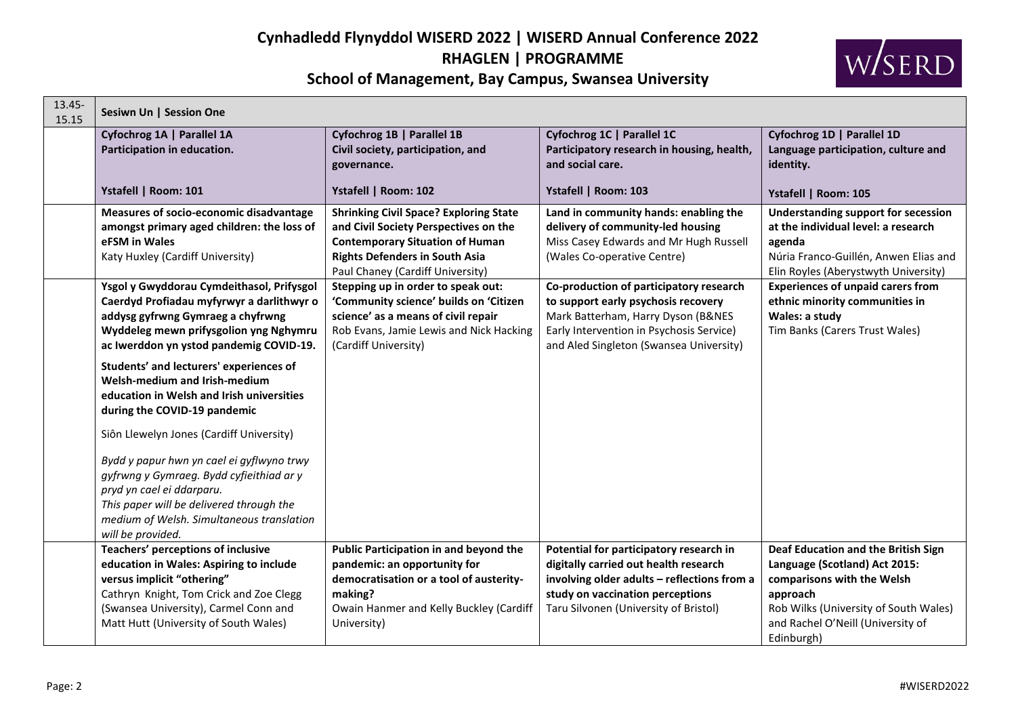# **Cynhadledd Flynyddol WISERD 2022 | WISERD Annual Conference 2022 RHAGLEN | PROGRAMME**



**School of Management, Bay Campus, Swansea University**

| 13.45-<br>15.15 | Sesiwn Un   Session One                                                                                                                                                                                                                                                      |                                                                                                                                                                                                               |                                                                                                                                                                                                              |                                                                                                                                                                                                            |  |
|-----------------|------------------------------------------------------------------------------------------------------------------------------------------------------------------------------------------------------------------------------------------------------------------------------|---------------------------------------------------------------------------------------------------------------------------------------------------------------------------------------------------------------|--------------------------------------------------------------------------------------------------------------------------------------------------------------------------------------------------------------|------------------------------------------------------------------------------------------------------------------------------------------------------------------------------------------------------------|--|
|                 | Cyfochrog 1A   Parallel 1A<br>Participation in education.                                                                                                                                                                                                                    | Cyfochrog 1B   Parallel 1B<br>Civil society, participation, and<br>governance.                                                                                                                                | Cyfochrog 1C   Parallel 1C<br>Participatory research in housing, health,<br>and social care.                                                                                                                 | Cyfochrog 1D   Parallel 1D<br>Language participation, culture and<br>identity.                                                                                                                             |  |
|                 | Ystafell   Room: 101                                                                                                                                                                                                                                                         | Ystafell   Room: 102                                                                                                                                                                                          | Ystafell   Room: 103                                                                                                                                                                                         | Ystafell   Room: 105                                                                                                                                                                                       |  |
|                 | Measures of socio-economic disadvantage<br>amongst primary aged children: the loss of<br>eFSM in Wales<br>Katy Huxley (Cardiff University)                                                                                                                                   | <b>Shrinking Civil Space? Exploring State</b><br>and Civil Society Perspectives on the<br><b>Contemporary Situation of Human</b><br><b>Rights Defenders in South Asia</b><br>Paul Chaney (Cardiff University) | Land in community hands: enabling the<br>delivery of community-led housing<br>Miss Casey Edwards and Mr Hugh Russell<br>(Wales Co-operative Centre)                                                          | <b>Understanding support for secession</b><br>at the individual level: a research<br>agenda<br>Núria Franco-Guillén, Anwen Elias and<br>Elin Royles (Aberystwyth University)                               |  |
|                 | Ysgol y Gwyddorau Cymdeithasol, Prifysgol<br>Caerdyd Profiadau myfyrwyr a darlithwyr o<br>addysg gyfrwng Gymraeg a chyfrwng<br>Wyddeleg mewn prifysgolion yng Nghymru<br>ac Iwerddon yn ystod pandemig COVID-19.                                                             | Stepping up in order to speak out:<br>'Community science' builds on 'Citizen<br>science' as a means of civil repair<br>Rob Evans, Jamie Lewis and Nick Hacking<br>(Cardiff University)                        | Co-production of participatory research<br>to support early psychosis recovery<br>Mark Batterham, Harry Dyson (B&NES<br>Early Intervention in Psychosis Service)<br>and Aled Singleton (Swansea University)  | <b>Experiences of unpaid carers from</b><br>ethnic minority communities in<br>Wales: a study<br>Tim Banks (Carers Trust Wales)                                                                             |  |
|                 | Students' and lecturers' experiences of<br>Welsh-medium and Irish-medium<br>education in Welsh and Irish universities<br>during the COVID-19 pandemic                                                                                                                        |                                                                                                                                                                                                               |                                                                                                                                                                                                              |                                                                                                                                                                                                            |  |
|                 | Siôn Llewelyn Jones (Cardiff University)<br>Bydd y papur hwn yn cael ei gyflwyno trwy<br>gyfrwng y Gymraeg. Bydd cyfieithiad ar y<br>pryd yn cael ei ddarparu.<br>This paper will be delivered through the<br>medium of Welsh. Simultaneous translation<br>will be provided. |                                                                                                                                                                                                               |                                                                                                                                                                                                              |                                                                                                                                                                                                            |  |
|                 | Teachers' perceptions of inclusive<br>education in Wales: Aspiring to include<br>versus implicit "othering"<br>Cathryn Knight, Tom Crick and Zoe Clegg<br>(Swansea University), Carmel Conn and<br>Matt Hutt (University of South Wales)                                     | Public Participation in and beyond the<br>pandemic: an opportunity for<br>democratisation or a tool of austerity-<br>making?<br>Owain Hanmer and Kelly Buckley (Cardiff<br>University)                        | Potential for participatory research in<br>digitally carried out health research<br>involving older adults - reflections from a<br>study on vaccination perceptions<br>Taru Silvonen (University of Bristol) | Deaf Education and the British Sign<br>Language (Scotland) Act 2015:<br>comparisons with the Welsh<br>approach<br>Rob Wilks (University of South Wales)<br>and Rachel O'Neill (University of<br>Edinburgh) |  |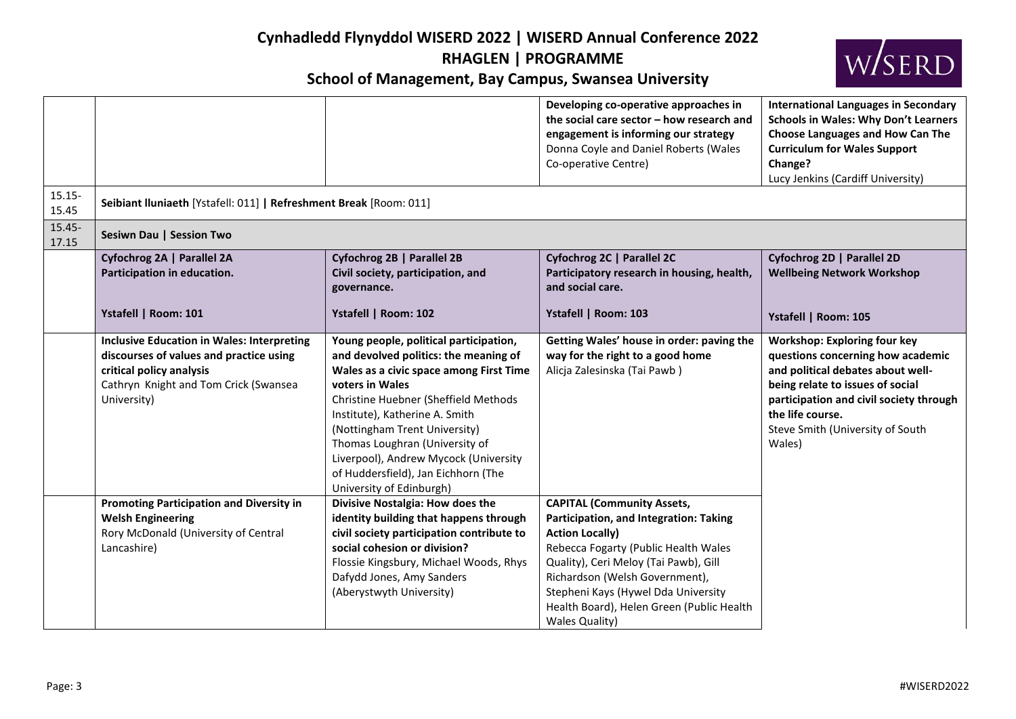

|                    |                                                                                                                                                                                  |                                                                                                                                                                                                                                                                                                                                                                                                        | Developing co-operative approaches in<br>the social care sector - how research and<br>engagement is informing our strategy<br>Donna Coyle and Daniel Roberts (Wales<br>Co-operative Centre)                                                                                                                                           | <b>International Languages in Secondary</b><br><b>Schools in Wales: Why Don't Learners</b><br>Choose Languages and How Can The<br><b>Curriculum for Wales Support</b><br>Change?<br>Lucy Jenkins (Cardiff University)                                          |  |
|--------------------|----------------------------------------------------------------------------------------------------------------------------------------------------------------------------------|--------------------------------------------------------------------------------------------------------------------------------------------------------------------------------------------------------------------------------------------------------------------------------------------------------------------------------------------------------------------------------------------------------|---------------------------------------------------------------------------------------------------------------------------------------------------------------------------------------------------------------------------------------------------------------------------------------------------------------------------------------|----------------------------------------------------------------------------------------------------------------------------------------------------------------------------------------------------------------------------------------------------------------|--|
| $15.15 -$<br>15.45 | Seibiant Iluniaeth [Ystafell: 011]   Refreshment Break [Room: 011]                                                                                                               |                                                                                                                                                                                                                                                                                                                                                                                                        |                                                                                                                                                                                                                                                                                                                                       |                                                                                                                                                                                                                                                                |  |
| $15.45 -$<br>17.15 | Sesiwn Dau   Session Two                                                                                                                                                         |                                                                                                                                                                                                                                                                                                                                                                                                        |                                                                                                                                                                                                                                                                                                                                       |                                                                                                                                                                                                                                                                |  |
|                    | Cyfochrog 2A   Parallel 2A<br>Participation in education.                                                                                                                        | Cyfochrog 2B   Parallel 2B<br>Civil society, participation, and<br>governance.                                                                                                                                                                                                                                                                                                                         | Cyfochrog 2C   Parallel 2C<br>Participatory research in housing, health,<br>and social care.                                                                                                                                                                                                                                          | Cyfochrog 2D   Parallel 2D<br><b>Wellbeing Network Workshop</b>                                                                                                                                                                                                |  |
|                    | Ystafell   Room: 101                                                                                                                                                             | Ystafell   Room: 102                                                                                                                                                                                                                                                                                                                                                                                   | Ystafell   Room: 103                                                                                                                                                                                                                                                                                                                  | Ystafell   Room: 105                                                                                                                                                                                                                                           |  |
|                    | <b>Inclusive Education in Wales: Interpreting</b><br>discourses of values and practice using<br>critical policy analysis<br>Cathryn Knight and Tom Crick (Swansea<br>University) | Young people, political participation,<br>and devolved politics: the meaning of<br>Wales as a civic space among First Time<br>voters in Wales<br>Christine Huebner (Sheffield Methods<br>Institute), Katherine A. Smith<br>(Nottingham Trent University)<br>Thomas Loughran (University of<br>Liverpool), Andrew Mycock (University<br>of Huddersfield), Jan Eichhorn (The<br>University of Edinburgh) | Getting Wales' house in order: paving the<br>way for the right to a good home<br>Alicja Zalesinska (Tai Pawb)                                                                                                                                                                                                                         | <b>Workshop: Exploring four key</b><br>questions concerning how academic<br>and political debates about well-<br>being relate to issues of social<br>participation and civil society through<br>the life course.<br>Steve Smith (University of South<br>Wales) |  |
|                    | <b>Promoting Participation and Diversity in</b><br><b>Welsh Engineering</b><br>Rory McDonald (University of Central<br>Lancashire)                                               | Divisive Nostalgia: How does the<br>identity building that happens through<br>civil society participation contribute to<br>social cohesion or division?<br>Flossie Kingsbury, Michael Woods, Rhys<br>Dafydd Jones, Amy Sanders<br>(Aberystwyth University)                                                                                                                                             | <b>CAPITAL (Community Assets,</b><br>Participation, and Integration: Taking<br><b>Action Locally)</b><br>Rebecca Fogarty (Public Health Wales<br>Quality), Ceri Meloy (Tai Pawb), Gill<br>Richardson (Welsh Government),<br>Stepheni Kays (Hywel Dda University<br>Health Board), Helen Green (Public Health<br><b>Wales Quality)</b> |                                                                                                                                                                                                                                                                |  |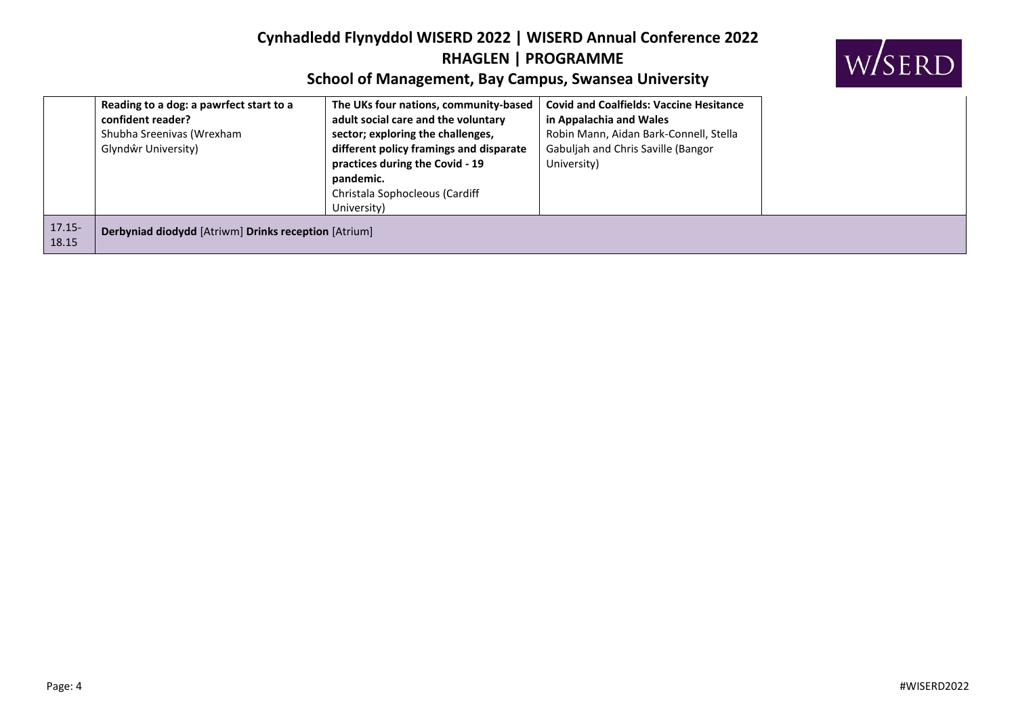

|                    | Reading to a dog: a pawrfect start to a<br>confident reader?<br>Shubha Sreenivas (Wrexham<br>Glyndŵr University) | The UKs four nations, community-based<br>adult social care and the voluntary<br>sector; exploring the challenges,<br>different policy framings and disparate<br>practices during the Covid - 19<br>pandemic.<br>Christala Sophocleous (Cardiff<br>University) | <b>Covid and Coalfields: Vaccine Hesitance</b><br>in Appalachia and Wales<br>Robin Mann, Aidan Bark-Connell, Stella<br>Gabuljah and Chris Saville (Bangor<br>University) |
|--------------------|------------------------------------------------------------------------------------------------------------------|---------------------------------------------------------------------------------------------------------------------------------------------------------------------------------------------------------------------------------------------------------------|--------------------------------------------------------------------------------------------------------------------------------------------------------------------------|
| $17.15 -$<br>18.15 | Derbyniad diodydd [Atriwm] Drinks reception [Atrium]                                                             |                                                                                                                                                                                                                                                               |                                                                                                                                                                          |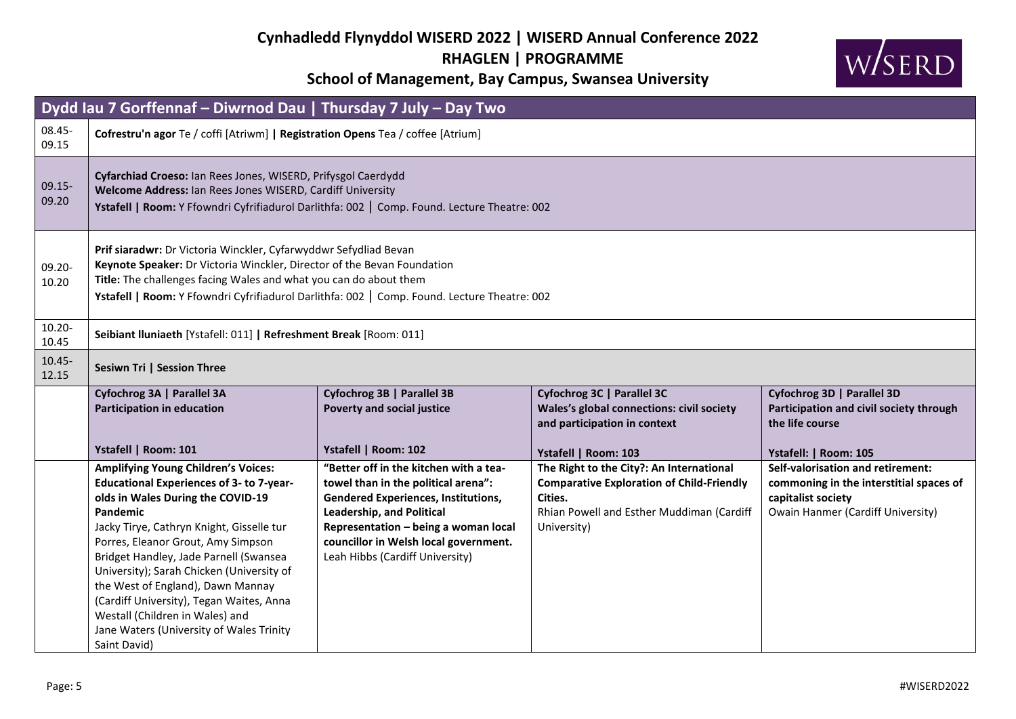

| Dydd Iau 7 Gorffennaf - Diwrnod Dau   Thursday 7 July - Day Two |                                                                                                                                                                                                                                                                                                                                                                                                                                                                                                                 |                                                                                                                                                                                                                                                                                     |                                                                                                                                                                     |                                                                                                                                                |  |
|-----------------------------------------------------------------|-----------------------------------------------------------------------------------------------------------------------------------------------------------------------------------------------------------------------------------------------------------------------------------------------------------------------------------------------------------------------------------------------------------------------------------------------------------------------------------------------------------------|-------------------------------------------------------------------------------------------------------------------------------------------------------------------------------------------------------------------------------------------------------------------------------------|---------------------------------------------------------------------------------------------------------------------------------------------------------------------|------------------------------------------------------------------------------------------------------------------------------------------------|--|
| 08.45-<br>09.15                                                 | Cofrestru'n agor Te / coffi [Atriwm]   Registration Opens Tea / coffee [Atrium]                                                                                                                                                                                                                                                                                                                                                                                                                                 |                                                                                                                                                                                                                                                                                     |                                                                                                                                                                     |                                                                                                                                                |  |
| $09.15 -$<br>09.20                                              | Cyfarchiad Croeso: Ian Rees Jones, WISERD, Prifysgol Caerdydd<br>Welcome Address: Ian Rees Jones WISERD, Cardiff University<br>Ystafell   Room: Y Ffowndri Cyfrifiadurol Darlithfa: 002   Comp. Found. Lecture Theatre: 002                                                                                                                                                                                                                                                                                     |                                                                                                                                                                                                                                                                                     |                                                                                                                                                                     |                                                                                                                                                |  |
| $09.20 -$<br>10.20                                              | Prif siaradwr: Dr Victoria Winckler, Cyfarwyddwr Sefydliad Bevan<br>Keynote Speaker: Dr Victoria Winckler, Director of the Bevan Foundation<br>Title: The challenges facing Wales and what you can do about them<br>Ystafell   Room: Y Ffowndri Cyfrifiadurol Darlithfa: 002   Comp. Found. Lecture Theatre: 002                                                                                                                                                                                                |                                                                                                                                                                                                                                                                                     |                                                                                                                                                                     |                                                                                                                                                |  |
| $10.20 -$<br>10.45                                              | Seibiant Iluniaeth [Ystafell: 011]   Refreshment Break [Room: 011]                                                                                                                                                                                                                                                                                                                                                                                                                                              |                                                                                                                                                                                                                                                                                     |                                                                                                                                                                     |                                                                                                                                                |  |
| $10.45 -$<br>12.15                                              | Sesiwn Tri   Session Three                                                                                                                                                                                                                                                                                                                                                                                                                                                                                      |                                                                                                                                                                                                                                                                                     |                                                                                                                                                                     |                                                                                                                                                |  |
|                                                                 | Cyfochrog 3A   Parallel 3A<br>Participation in education<br>Ystafell   Room: 101                                                                                                                                                                                                                                                                                                                                                                                                                                | Cyfochrog 3B   Parallel 3B<br><b>Poverty and social justice</b><br>Ystafell   Room: 102                                                                                                                                                                                             | Cyfochrog 3C   Parallel 3C<br>Wales's global connections: civil society<br>and participation in context<br>Ystafell   Room: 103                                     | Cyfochrog 3D   Parallel 3D<br>Participation and civil society through<br>the life course<br>Ystafell:   Room: 105                              |  |
|                                                                 | <b>Amplifying Young Children's Voices:</b><br><b>Educational Experiences of 3- to 7-year-</b><br>olds in Wales During the COVID-19<br><b>Pandemic</b><br>Jacky Tirye, Cathryn Knight, Gisselle tur<br>Porres, Eleanor Grout, Amy Simpson<br>Bridget Handley, Jade Parnell (Swansea<br>University); Sarah Chicken (University of<br>the West of England), Dawn Mannay<br>(Cardiff University), Tegan Waites, Anna<br>Westall (Children in Wales) and<br>Jane Waters (University of Wales Trinity<br>Saint David) | "Better off in the kitchen with a tea-<br>towel than in the political arena":<br><b>Gendered Experiences, Institutions,</b><br><b>Leadership, and Political</b><br>Representation - being a woman local<br>councillor in Welsh local government.<br>Leah Hibbs (Cardiff University) | The Right to the City?: An International<br><b>Comparative Exploration of Child-Friendly</b><br>Cities.<br>Rhian Powell and Esther Muddiman (Cardiff<br>University) | Self-valorisation and retirement:<br>commoning in the interstitial spaces of<br>capitalist society<br><b>Owain Hanmer (Cardiff University)</b> |  |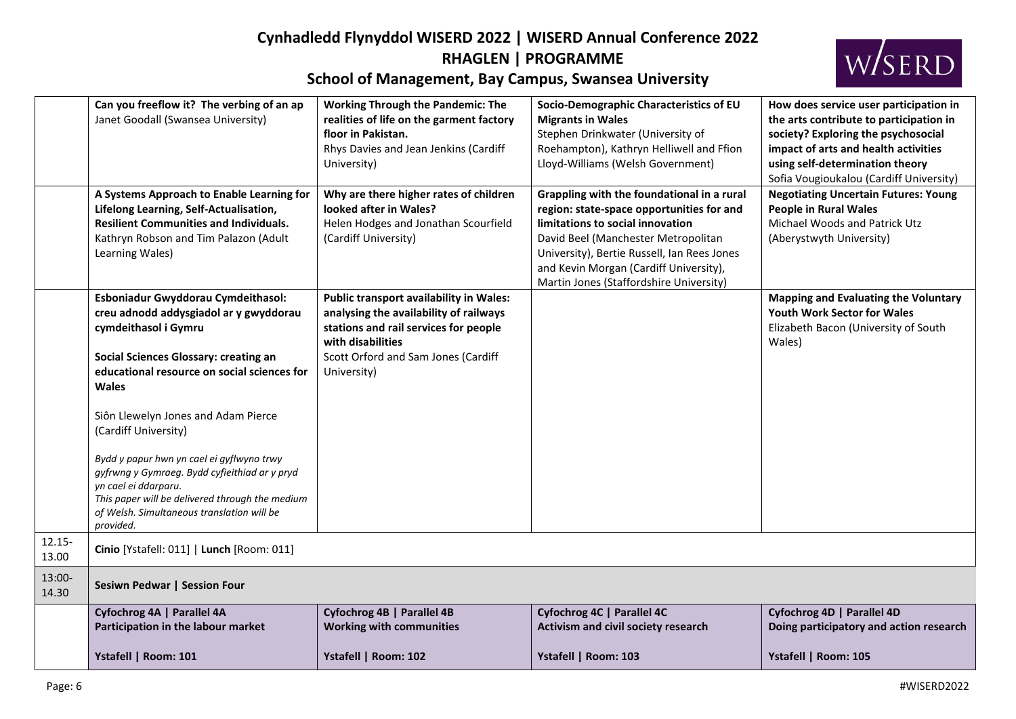

|                    | Can you freeflow it? The verbing of an ap<br>Janet Goodall (Swansea University)                                                                                                                                                                                                                                                                                                                                                                                                                    | <b>Working Through the Pandemic: The</b><br>realities of life on the garment factory<br>floor in Pakistan.<br>Rhys Davies and Jean Jenkins (Cardiff<br>University)                                    | Socio-Demographic Characteristics of EU<br><b>Migrants in Wales</b><br>Stephen Drinkwater (University of<br>Roehampton), Kathryn Helliwell and Ffion<br>Lloyd-Williams (Welsh Government)                                                                                                              | How does service user participation in<br>the arts contribute to participation in<br>society? Exploring the psychosocial<br>impact of arts and health activities<br>using self-determination theory<br>Sofia Vougioukalou (Cardiff University) |
|--------------------|----------------------------------------------------------------------------------------------------------------------------------------------------------------------------------------------------------------------------------------------------------------------------------------------------------------------------------------------------------------------------------------------------------------------------------------------------------------------------------------------------|-------------------------------------------------------------------------------------------------------------------------------------------------------------------------------------------------------|--------------------------------------------------------------------------------------------------------------------------------------------------------------------------------------------------------------------------------------------------------------------------------------------------------|------------------------------------------------------------------------------------------------------------------------------------------------------------------------------------------------------------------------------------------------|
|                    | A Systems Approach to Enable Learning for<br>Lifelong Learning, Self-Actualisation,<br><b>Resilient Communities and Individuals.</b><br>Kathryn Robson and Tim Palazon (Adult<br>Learning Wales)                                                                                                                                                                                                                                                                                                   | Why are there higher rates of children<br>looked after in Wales?<br>Helen Hodges and Jonathan Scourfield<br>(Cardiff University)                                                                      | Grappling with the foundational in a rural<br>region: state-space opportunities for and<br>limitations to social innovation<br>David Beel (Manchester Metropolitan<br>University), Bertie Russell, Ian Rees Jones<br>and Kevin Morgan (Cardiff University),<br>Martin Jones (Staffordshire University) | <b>Negotiating Uncertain Futures: Young</b><br><b>People in Rural Wales</b><br>Michael Woods and Patrick Utz<br>(Aberystwyth University)                                                                                                       |
|                    | Esboniadur Gwyddorau Cymdeithasol:<br>creu adnodd addysgiadol ar y gwyddorau<br>cymdeithasol i Gymru<br>Social Sciences Glossary: creating an<br>educational resource on social sciences for<br><b>Wales</b><br>Siôn Llewelyn Jones and Adam Pierce<br>(Cardiff University)<br>Bydd y papur hwn yn cael ei gyflwyno trwy<br>gyfrwng y Gymraeg. Bydd cyfieithiad ar y pryd<br>yn cael ei ddarparu.<br>This paper will be delivered through the medium<br>of Welsh. Simultaneous translation will be | Public transport availability in Wales:<br>analysing the availability of railways<br>stations and rail services for people<br>with disabilities<br>Scott Orford and Sam Jones (Cardiff<br>University) |                                                                                                                                                                                                                                                                                                        | <b>Mapping and Evaluating the Voluntary</b><br>Youth Work Sector for Wales<br>Elizabeth Bacon (University of South<br>Wales)                                                                                                                   |
| $12.15 -$<br>13.00 | provided.<br>Cinio [Ystafell: 011]   Lunch [Room: 011]                                                                                                                                                                                                                                                                                                                                                                                                                                             |                                                                                                                                                                                                       |                                                                                                                                                                                                                                                                                                        |                                                                                                                                                                                                                                                |
| 13:00-<br>14.30    | Sesiwn Pedwar   Session Four                                                                                                                                                                                                                                                                                                                                                                                                                                                                       |                                                                                                                                                                                                       |                                                                                                                                                                                                                                                                                                        |                                                                                                                                                                                                                                                |
|                    | Cyfochrog 4A   Parallel 4A<br>Participation in the labour market                                                                                                                                                                                                                                                                                                                                                                                                                                   | Cyfochrog 4B   Parallel 4B<br><b>Working with communities</b>                                                                                                                                         | Cyfochrog 4C   Parallel 4C<br>Activism and civil society research                                                                                                                                                                                                                                      | Cyfochrog 4D   Parallel 4D<br>Doing participatory and action research                                                                                                                                                                          |
|                    | Ystafell   Room: 101                                                                                                                                                                                                                                                                                                                                                                                                                                                                               | Ystafell   Room: 102                                                                                                                                                                                  | Ystafell   Room: 103                                                                                                                                                                                                                                                                                   | Ystafell   Room: 105                                                                                                                                                                                                                           |